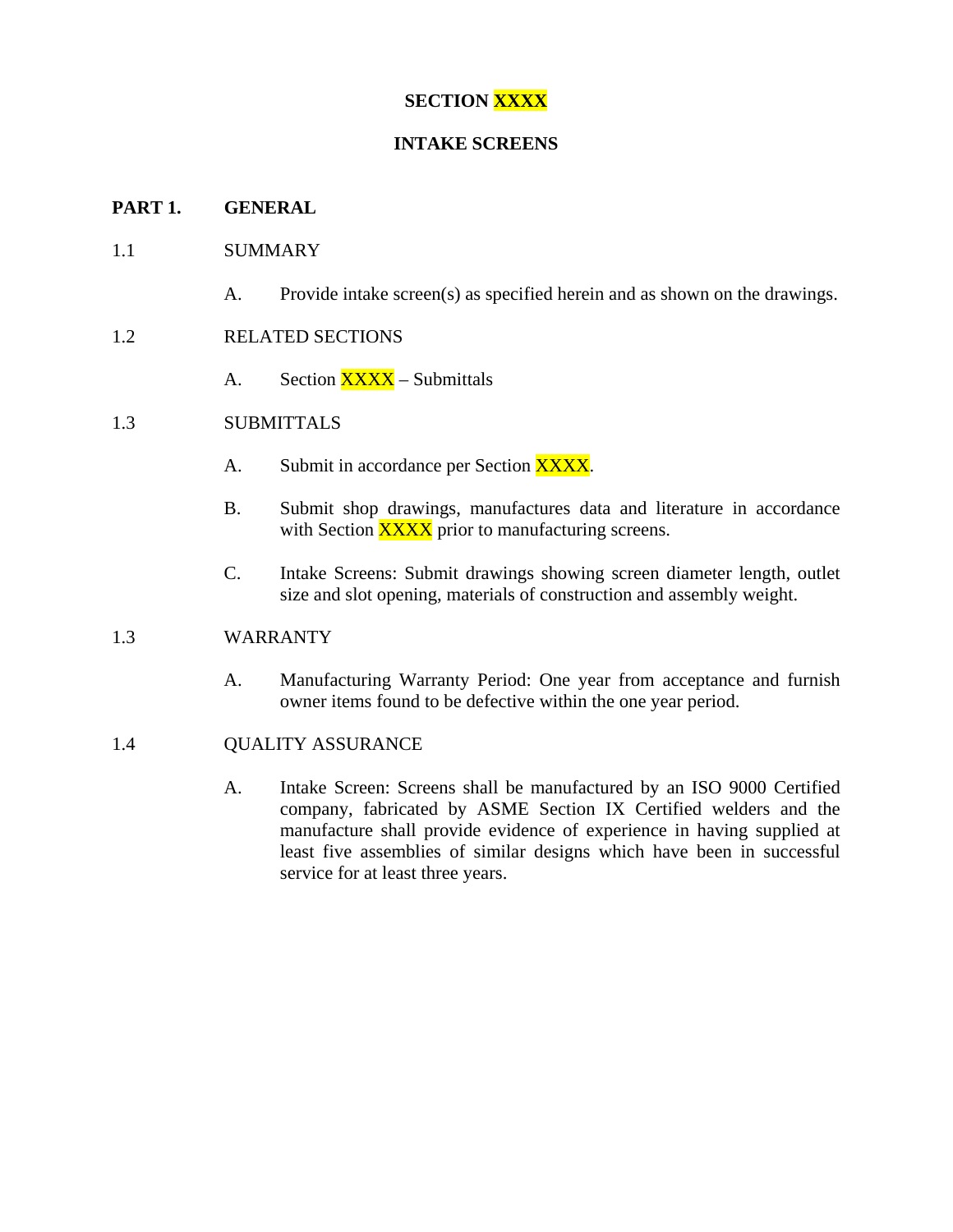# **SECTION XXXX**

## **INTAKE SCREENS**

### **PART 1. GENERAL**

### 1.1 SUMMARY

A. Provide intake screen(s) as specified herein and as shown on the drawings.

## 1.2 RELATED SECTIONS

A. Section **XXXX** – Submittals

## 1.3 SUBMITTALS

- A. Submit in accordance per Section XXXX.
- B. Submit shop drawings, manufactures data and literature in accordance with Section **XXXX** prior to manufacturing screens.
- C. Intake Screens: Submit drawings showing screen diameter length, outlet size and slot opening, materials of construction and assembly weight.

### 1.3 WARRANTY

A. Manufacturing Warranty Period: One year from acceptance and furnish owner items found to be defective within the one year period.

#### 1.4 QUALITY ASSURANCE

A. Intake Screen: Screens shall be manufactured by an ISO 9000 Certified company, fabricated by ASME Section IX Certified welders and the manufacture shall provide evidence of experience in having supplied at least five assemblies of similar designs which have been in successful service for at least three years.